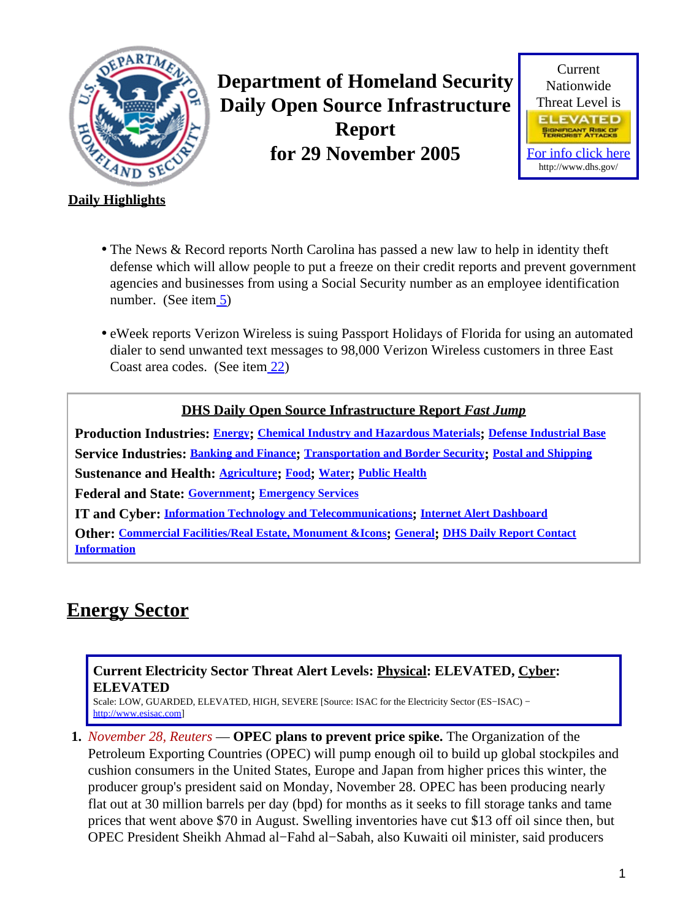<span id="page-0-1"></span>

**Department of Homeland Security Daily Open Source Infrastructure Report for 29 November 2005**



#### **Daily Highlights**

- The News & Record reports North Carolina has passed a new law to help in identity theft defense which will allow people to put a freeze on their credit reports and prevent government agencies and businesses from using a Social Security number as an employee identification number. (See ite[m 5](#page-2-0))
- eWeek reports Verizon Wireless is suing Passport Holidays of Florida for using an automated dialer to send unwanted text messages to 98,000 Verizon Wireless customers in three East Coast area codes. (See ite[m 22](#page-8-0))

#### **DHS Daily Open Source Infrastructure Report** *Fast Jump*

**Production Industries: [Energy](#page-0-0); [Chemical Industry and Hazardous Materials](#page-1-0); [Defense Industrial Base](#page-1-1) Service Industries: [Banking and Finance](#page-1-2); [Transportation and Border Security](#page-3-0); [Postal and Shipping](#page-4-0) Sustenance and Health: [Agriculture](#page-4-1); [Food](#page-5-0); [Water](#page-5-1); [Public Health](#page-5-2)**

**Federal and State: [Government](#page-7-0); [Emergency Services](#page-7-1)**

**IT and Cyber: [Information Technology and Telecommunications](#page-8-1); [Internet Alert Dashboard](#page-9-0)**

**Other: [Commercial Facilities/Real Estate, Monument &Icons](#page-10-0); [General](#page-11-0); [DHS Daily Report Contact](#page-12-0) [Information](#page-12-0)**

# <span id="page-0-0"></span>**Energy Sector**

### **Current Electricity Sector Threat Alert Levels: Physical: ELEVATED, Cyber: ELEVATED**

Scale: LOW, GUARDED, ELEVATED, HIGH, SEVERE [Source: ISAC for the Electricity Sector (ES−ISAC) − [http://www.esisac.com](http://esisac.com)]

**1.** *November 28, Reuters* — **OPEC plans to prevent price spike.** The Organization of the Petroleum Exporting Countries (OPEC) will pump enough oil to build up global stockpiles and cushion consumers in the United States, Europe and Japan from higher prices this winter, the producer group's president said on Monday, November 28. OPEC has been producing nearly flat out at 30 million barrels per day (bpd) for months as it seeks to fill storage tanks and tame prices that went above \$70 in August. Swelling inventories have cut \$13 off oil since then, but OPEC President Sheikh Ahmad al−Fahd al−Sabah, also Kuwaiti oil minister, said producers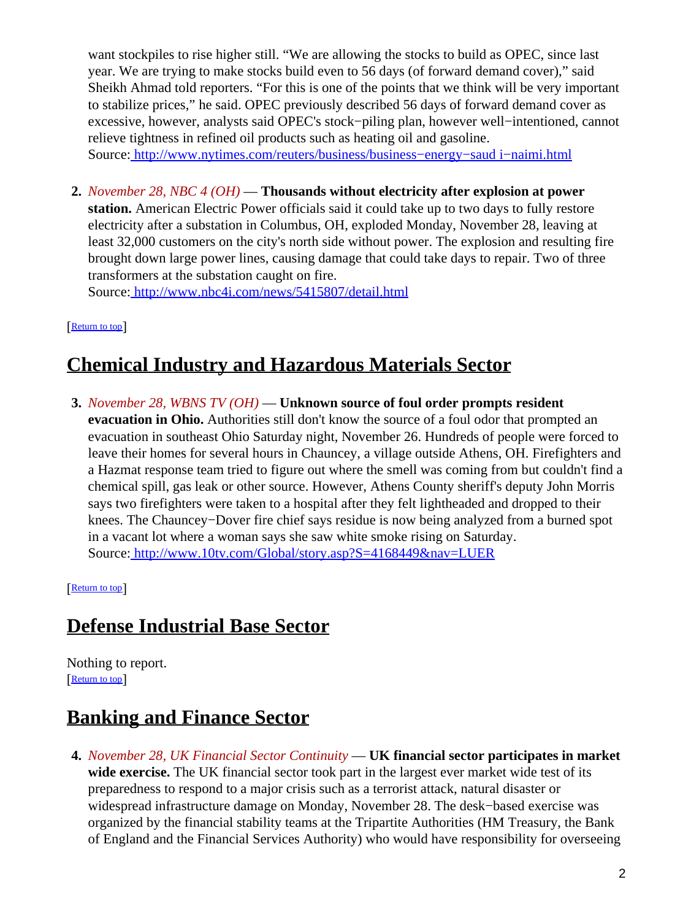want stockpiles to rise higher still. "We are allowing the stocks to build as OPEC, since last year. We are trying to make stocks build even to 56 days (of forward demand cover)," said Sheikh Ahmad told reporters. "For this is one of the points that we think will be very important to stabilize prices," he said. OPEC previously described 56 days of forward demand cover as excessive, however, analysts said OPEC's stock−piling plan, however well−intentioned, cannot relieve tightness in refined oil products such as heating oil and gasoline. Source[: http://www.nytimes.com/reuters/business/business−energy−saud i−naimi.html](http://www.nytimes.com/reuters/business/business-energy-saudi-naimi.html)

**2.** *November 28, NBC 4 (OH)* — **Thousands without electricity after explosion at power station.** American Electric Power officials said it could take up to two days to fully restore electricity after a substation in Columbus, OH, exploded Monday, November 28, leaving at least 32,000 customers on the city's north side without power. The explosion and resulting fire brought down large power lines, causing damage that could take days to repair. Two of three transformers at the substation caught on fire.

Source[: http://www.nbc4i.com/news/5415807/detail.html](http://www.nbc4i.com/news/5415807/detail.html)

[[Return to top](#page-0-1)]

## <span id="page-1-0"></span>**Chemical Industry and Hazardous Materials Sector**

**3.** *November 28, WBNS TV (OH)* — **Unknown source of foul order prompts resident evacuation in Ohio.** Authorities still don't know the source of a foul odor that prompted an evacuation in southeast Ohio Saturday night, November 26. Hundreds of people were forced to leave their homes for several hours in Chauncey, a village outside Athens, OH. Firefighters and a Hazmat response team tried to figure out where the smell was coming from but couldn't find a chemical spill, gas leak or other source. However, Athens County sheriff's deputy John Morris says two firefighters were taken to a hospital after they felt lightheaded and dropped to their knees. The Chauncey−Dover fire chief says residue is now being analyzed from a burned spot in a vacant lot where a woman says she saw white smoke rising on Saturday. Source[: http://www.10tv.com/Global/story.asp?S=4168449&nav=LUER](http://www.10tv.com/Global/story.asp?S=4168449&nav=LUER)

[[Return to top](#page-0-1)]

## <span id="page-1-1"></span>**Defense Industrial Base Sector**

Nothing to report. [[Return to top](#page-0-1)]

## <span id="page-1-2"></span>**Banking and Finance Sector**

**4.** *November 28, UK Financial Sector Continuity* — **UK financial sector participates in market wide exercise.** The UK financial sector took part in the largest ever market wide test of its preparedness to respond to a major crisis such as a terrorist attack, natural disaster or widespread infrastructure damage on Monday, November 28. The desk−based exercise was organized by the financial stability teams at the Tripartite Authorities (HM Treasury, the Bank of England and the Financial Services Authority) who would have responsibility for overseeing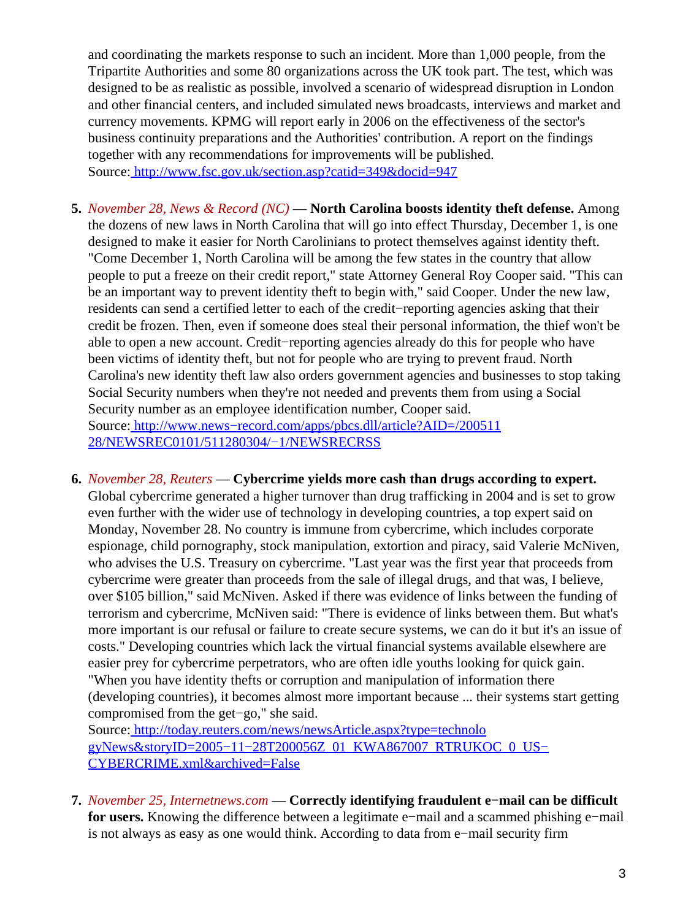and coordinating the markets response to such an incident. More than 1,000 people, from the Tripartite Authorities and some 80 organizations across the UK took part. The test, which was designed to be as realistic as possible, involved a scenario of widespread disruption in London and other financial centers, and included simulated news broadcasts, interviews and market and currency movements. KPMG will report early in 2006 on the effectiveness of the sector's business continuity preparations and the Authorities' contribution. A report on the findings together with any recommendations for improvements will be published. Source[: http://www.fsc.gov.uk/section.asp?catid=349&docid=947](http://www.fsc.gov.uk/section.asp?catid=349&docid=947)

- <span id="page-2-0"></span>**5.** *November 28, News & Record (NC)* — **North Carolina boosts identity theft defense.** Among the dozens of new laws in North Carolina that will go into effect Thursday, December 1, is one designed to make it easier for North Carolinians to protect themselves against identity theft. "Come December 1, North Carolina will be among the few states in the country that allow people to put a freeze on their credit report," state Attorney General Roy Cooper said. "This can be an important way to prevent identity theft to begin with," said Cooper. Under the new law, residents can send a certified letter to each of the credit−reporting agencies asking that their credit be frozen. Then, even if someone does steal their personal information, the thief won't be able to open a new account. Credit−reporting agencies already do this for people who have been victims of identity theft, but not for people who are trying to prevent fraud. North Carolina's new identity theft law also orders government agencies and businesses to stop taking Social Security numbers when they're not needed and prevents them from using a Social Security number as an employee identification number, Cooper said. Source[: http://www.news−record.com/apps/pbcs.dll/article?AID=/200511](http://www.news-record.com/apps/pbcs.dll/article?AID=/20051128/NEWSREC0101/511280304/-1/NEWSRECRSS) [28/NEWSREC0101/511280304/−1/NEWSRECRSS](http://www.news-record.com/apps/pbcs.dll/article?AID=/20051128/NEWSREC0101/511280304/-1/NEWSRECRSS)
- **6.** *November 28, Reuters* — **Cybercrime yields more cash than drugs according to expert.** Global cybercrime generated a higher turnover than drug trafficking in 2004 and is set to grow even further with the wider use of technology in developing countries, a top expert said on Monday, November 28. No country is immune from cybercrime, which includes corporate espionage, child pornography, stock manipulation, extortion and piracy, said Valerie McNiven, who advises the U.S. Treasury on cybercrime. "Last year was the first year that proceeds from cybercrime were greater than proceeds from the sale of illegal drugs, and that was, I believe, over \$105 billion," said McNiven. Asked if there was evidence of links between the funding of terrorism and cybercrime, McNiven said: "There is evidence of links between them. But what's more important is our refusal or failure to create secure systems, we can do it but it's an issue of costs." Developing countries which lack the virtual financial systems available elsewhere are easier prey for cybercrime perpetrators, who are often idle youths looking for quick gain. "When you have identity thefts or corruption and manipulation of information there (developing countries), it becomes almost more important because ... their systems start getting compromised from the get−go," she said.

Source[: http://today.reuters.com/news/newsArticle.aspx?type=technolo](http://today.reuters.com/news/newsArticle.aspx?type=technologyNews&storyID=2005-11-28T200056Z_01_KWA867007_RTRUKOC_0_US-CYBERCRIME.xml&archived=False) [gyNews&storyID=2005−11−28T200056Z\\_01\\_KWA867007\\_RTRUKOC\\_0\\_US−](http://today.reuters.com/news/newsArticle.aspx?type=technologyNews&storyID=2005-11-28T200056Z_01_KWA867007_RTRUKOC_0_US-CYBERCRIME.xml&archived=False) [CYBERCRIME.xml&archived=False](http://today.reuters.com/news/newsArticle.aspx?type=technologyNews&storyID=2005-11-28T200056Z_01_KWA867007_RTRUKOC_0_US-CYBERCRIME.xml&archived=False)

**7.** *November 25, Internetnews.com* — **Correctly identifying fraudulent e−mail can be difficult for users.** Knowing the difference between a legitimate e−mail and a scammed phishing e−mail is not always as easy as one would think. According to data from e−mail security firm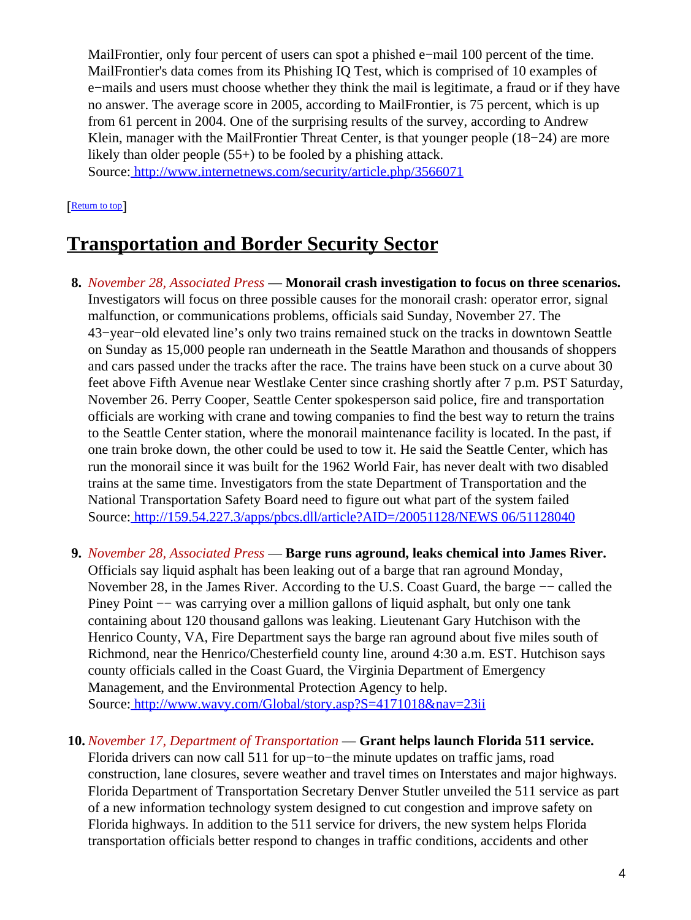MailFrontier, only four percent of users can spot a phished e−mail 100 percent of the time. MailFrontier's data comes from its Phishing IQ Test, which is comprised of 10 examples of e−mails and users must choose whether they think the mail is legitimate, a fraud or if they have no answer. The average score in 2005, according to MailFrontier, is 75 percent, which is up from 61 percent in 2004. One of the surprising results of the survey, according to Andrew Klein, manager with the MailFrontier Threat Center, is that younger people (18−24) are more likely than older people (55+) to be fooled by a phishing attack. Source[: http://www.internetnews.com/security/article.php/3566071](http://www.internetnews.com/security/article.php/3566071)

[[Return to top](#page-0-1)]

## <span id="page-3-0"></span>**Transportation and Border Security Sector**

- **8.** *November 28, Associated Press* — **Monorail crash investigation to focus on three scenarios.** Investigators will focus on three possible causes for the monorail crash: operator error, signal malfunction, or communications problems, officials said Sunday, November 27. The 43−year−old elevated line's only two trains remained stuck on the tracks in downtown Seattle on Sunday as 15,000 people ran underneath in the Seattle Marathon and thousands of shoppers and cars passed under the tracks after the race. The trains have been stuck on a curve about 30 feet above Fifth Avenue near Westlake Center since crashing shortly after 7 p.m. PST Saturday, November 26. Perry Cooper, Seattle Center spokesperson said police, fire and transportation officials are working with crane and towing companies to find the best way to return the trains to the Seattle Center station, where the monorail maintenance facility is located. In the past, if one train broke down, the other could be used to tow it. He said the Seattle Center, which has run the monorail since it was built for the 1962 World Fair, has never dealt with two disabled trains at the same time. Investigators from the state Department of Transportation and the National Transportation Safety Board need to figure out what part of the system failed Source[: http://159.54.227.3/apps/pbcs.dll/article?AID=/20051128/NEWS 06/51128040](http://159.54.227.3/apps/pbcs.dll/article?AID=/20051128/NEWS06/51128040)
- **9.** *November 28, Associated Press* — **Barge runs aground, leaks chemical into James River.** Officials say liquid asphalt has been leaking out of a barge that ran aground Monday, November 28, in the James River. According to the U.S. Coast Guard, the barge −− called the Piney Point −− was carrying over a million gallons of liquid asphalt, but only one tank containing about 120 thousand gallons was leaking. Lieutenant Gary Hutchison with the Henrico County, VA, Fire Department says the barge ran aground about five miles south of Richmond, near the Henrico/Chesterfield county line, around 4:30 a.m. EST. Hutchison says county officials called in the Coast Guard, the Virginia Department of Emergency Management, and the Environmental Protection Agency to help. Source[: http://www.wavy.com/Global/story.asp?S=4171018&nav=23ii](http://www.wavy.com/Global/story.asp?S=4171018&nav=23ii)
- **10.** *November 17, Department of Transportation* — **Grant helps launch Florida 511 service.** Florida drivers can now call 511 for up−to−the minute updates on traffic jams, road construction, lane closures, severe weather and travel times on Interstates and major highways. Florida Department of Transportation Secretary Denver Stutler unveiled the 511 service as part of a new information technology system designed to cut congestion and improve safety on Florida highways. In addition to the 511 service for drivers, the new system helps Florida transportation officials better respond to changes in traffic conditions, accidents and other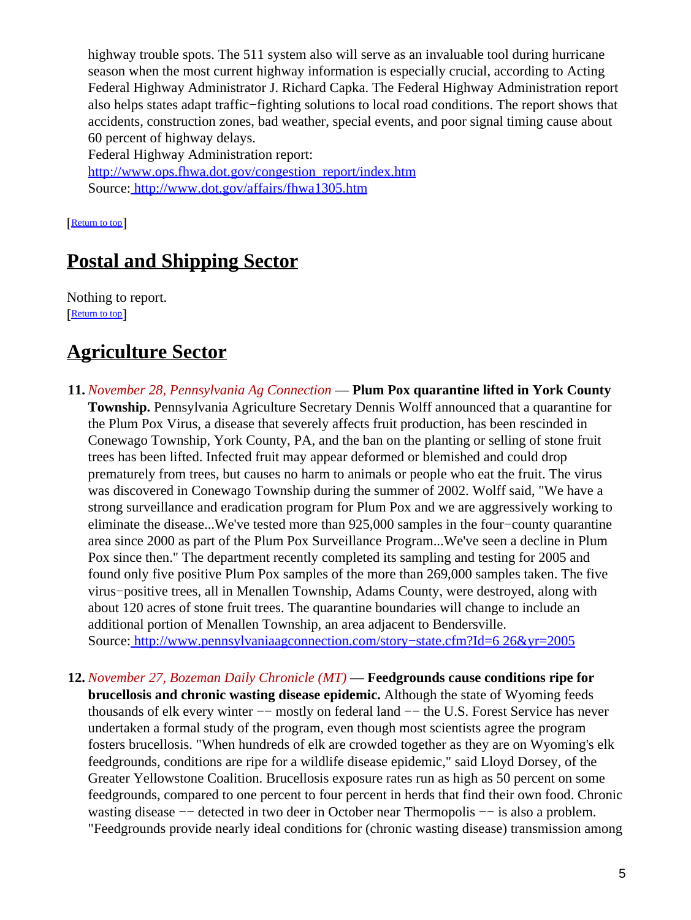highway trouble spots. The 511 system also will serve as an invaluable tool during hurricane season when the most current highway information is especially crucial, according to Acting Federal Highway Administrator J. Richard Capka. The Federal Highway Administration report also helps states adapt traffic−fighting solutions to local road conditions. The report shows that accidents, construction zones, bad weather, special events, and poor signal timing cause about 60 percent of highway delays.

Federal Highway Administration report: [http://www.ops.fhwa.dot.gov/congestion\\_report/index.htm](http://www.ops.fhwa.dot.gov/congestion_report/index.htm) Source[: http://www.dot.gov/affairs/fhwa1305.htm](http://www.dot.gov/affairs/fhwa1305.htm)

[[Return to top](#page-0-1)]

## <span id="page-4-0"></span>**Postal and Shipping Sector**

Nothing to report. [[Return to top](#page-0-1)]

## <span id="page-4-1"></span>**Agriculture Sector**

- **11.** *November 28, Pennsylvania Ag Connection* — **Plum Pox quarantine lifted in York County Township.** Pennsylvania Agriculture Secretary Dennis Wolff announced that a quarantine for the Plum Pox Virus, a disease that severely affects fruit production, has been rescinded in Conewago Township, York County, PA, and the ban on the planting or selling of stone fruit trees has been lifted. Infected fruit may appear deformed or blemished and could drop prematurely from trees, but causes no harm to animals or people who eat the fruit. The virus was discovered in Conewago Township during the summer of 2002. Wolff said, "We have a strong surveillance and eradication program for Plum Pox and we are aggressively working to eliminate the disease...We've tested more than 925,000 samples in the four−county quarantine area since 2000 as part of the Plum Pox Surveillance Program...We've seen a decline in Plum Pox since then." The department recently completed its sampling and testing for 2005 and found only five positive Plum Pox samples of the more than 269,000 samples taken. The five virus−positive trees, all in Menallen Township, Adams County, were destroyed, along with about 120 acres of stone fruit trees. The quarantine boundaries will change to include an additional portion of Menallen Township, an area adjacent to Bendersville. Source[: http://www.pennsylvaniaagconnection.com/story−state.cfm?Id=6 26&yr=2005](http://www.pennsylvaniaagconnection.com/story-state.cfm?Id=626&yr=2005)
- **12.** *November 27, Bozeman Daily Chronicle (MT)* — **Feedgrounds cause conditions ripe for brucellosis and chronic wasting disease epidemic.** Although the state of Wyoming feeds thousands of elk every winter −− mostly on federal land −− the U.S. Forest Service has never undertaken a formal study of the program, even though most scientists agree the program fosters brucellosis. "When hundreds of elk are crowded together as they are on Wyoming's elk feedgrounds, conditions are ripe for a wildlife disease epidemic," said Lloyd Dorsey, of the Greater Yellowstone Coalition. Brucellosis exposure rates run as high as 50 percent on some feedgrounds, compared to one percent to four percent in herds that find their own food. Chronic wasting disease −− detected in two deer in October near Thermopolis −− is also a problem. "Feedgrounds provide nearly ideal conditions for (chronic wasting disease) transmission among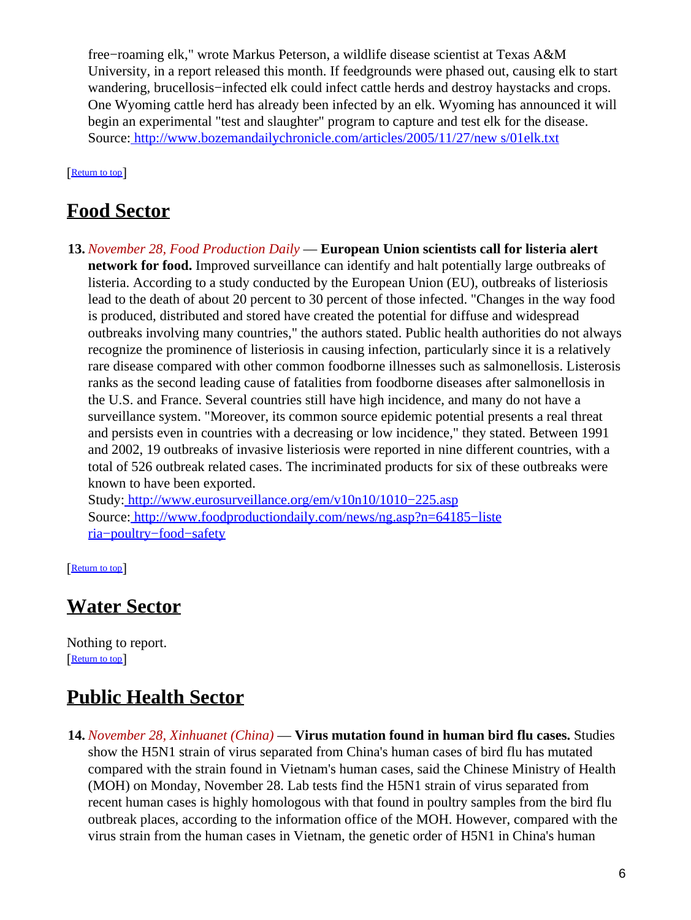free−roaming elk," wrote Markus Peterson, a wildlife disease scientist at Texas A&M University, in a report released this month. If feedgrounds were phased out, causing elk to start wandering, brucellosis−infected elk could infect cattle herds and destroy haystacks and crops. One Wyoming cattle herd has already been infected by an elk. Wyoming has announced it will begin an experimental "test and slaughter" program to capture and test elk for the disease. Source[: http://www.bozemandailychronicle.com/articles/2005/11/27/new s/01elk.txt](http://www.bozemandailychronicle.com/articles/2005/11/27/news/01elk.txt)

[[Return to top](#page-0-1)]

### <span id="page-5-0"></span>**Food Sector**

**13.** *November 28, Food Production Daily* — **European Union scientists call for listeria alert network for food.** Improved surveillance can identify and halt potentially large outbreaks of listeria. According to a study conducted by the European Union (EU), outbreaks of listeriosis lead to the death of about 20 percent to 30 percent of those infected. "Changes in the way food is produced, distributed and stored have created the potential for diffuse and widespread outbreaks involving many countries," the authors stated. Public health authorities do not always recognize the prominence of listeriosis in causing infection, particularly since it is a relatively rare disease compared with other common foodborne illnesses such as salmonellosis. Listerosis ranks as the second leading cause of fatalities from foodborne diseases after salmonellosis in the U.S. and France. Several countries still have high incidence, and many do not have a surveillance system. "Moreover, its common source epidemic potential presents a real threat and persists even in countries with a decreasing or low incidence," they stated. Between 1991 and 2002, 19 outbreaks of invasive listeriosis were reported in nine different countries, with a total of 526 outbreak related cases. The incriminated products for six of these outbreaks were known to have been exported.

Study[: http://www.eurosurveillance.org/em/v10n10/1010−225.asp](http://www.eurosurveillance.org/em/v10n10/1010-225.asp) Source[: http://www.foodproductiondaily.com/news/ng.asp?n=64185−liste](http://www.foodproductiondaily.com/news/ng.asp?n=64185-listeria-poultry-food-safety) [ria−poultry−food−safety](http://www.foodproductiondaily.com/news/ng.asp?n=64185-listeria-poultry-food-safety)

[[Return to top](#page-0-1)]

### <span id="page-5-1"></span>**Water Sector**

Nothing to report. [[Return to top](#page-0-1)]

## <span id="page-5-2"></span>**Public Health Sector**

**14.** *November 28, Xinhuanet (China)* — **Virus mutation found in human bird flu cases.** Studies show the H5N1 strain of virus separated from China's human cases of bird flu has mutated compared with the strain found in Vietnam's human cases, said the Chinese Ministry of Health (MOH) on Monday, November 28. Lab tests find the H5N1 strain of virus separated from recent human cases is highly homologous with that found in poultry samples from the bird flu outbreak places, according to the information office of the MOH. However, compared with the virus strain from the human cases in Vietnam, the genetic order of H5N1 in China's human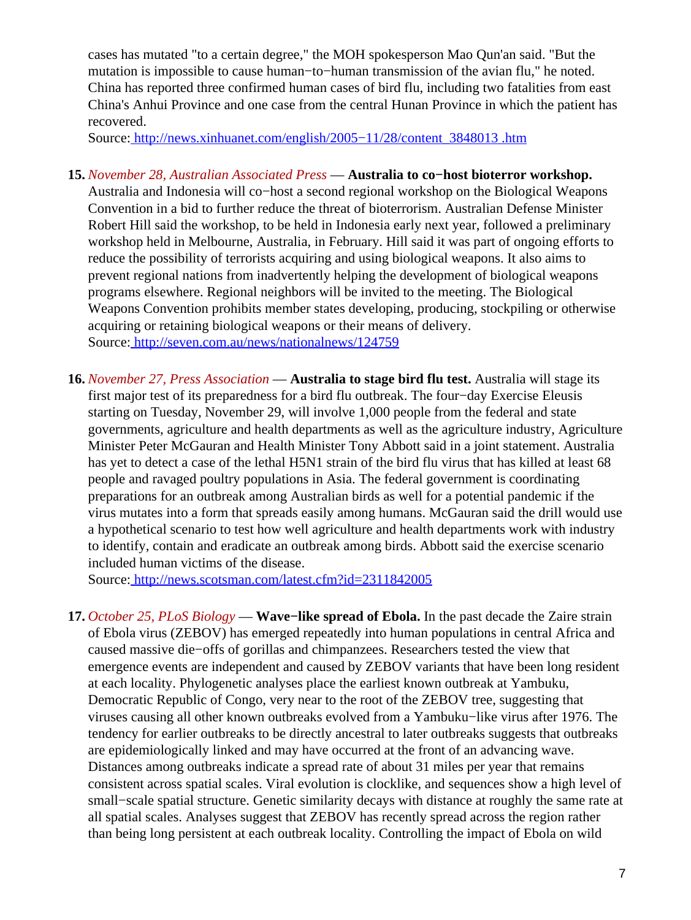cases has mutated "to a certain degree," the MOH spokesperson Mao Qun'an said. "But the mutation is impossible to cause human−to−human transmission of the avian flu," he noted. China has reported three confirmed human cases of bird flu, including two fatalities from east China's Anhui Province and one case from the central Hunan Province in which the patient has recovered.

Source[: http://news.xinhuanet.com/english/2005−11/28/content\\_3848013 .htm](http://news.xinhuanet.com/english/2005-11/28/content_3848013.htm)

- **15.** *November 28, Australian Associated Press* — **Australia to co−host bioterror workshop.** Australia and Indonesia will co−host a second regional workshop on the Biological Weapons Convention in a bid to further reduce the threat of bioterrorism. Australian Defense Minister Robert Hill said the workshop, to be held in Indonesia early next year, followed a preliminary workshop held in Melbourne, Australia, in February. Hill said it was part of ongoing efforts to reduce the possibility of terrorists acquiring and using biological weapons. It also aims to prevent regional nations from inadvertently helping the development of biological weapons programs elsewhere. Regional neighbors will be invited to the meeting. The Biological Weapons Convention prohibits member states developing, producing, stockpiling or otherwise acquiring or retaining biological weapons or their means of delivery. Source[: http://seven.com.au/news/nationalnews/124759](http://seven.com.au/news/nationalnews/124759)
- **16.** *November 27, Press Association* — **Australia to stage bird flu test.** Australia will stage its first major test of its preparedness for a bird flu outbreak. The four−day Exercise Eleusis starting on Tuesday, November 29, will involve 1,000 people from the federal and state governments, agriculture and health departments as well as the agriculture industry, Agriculture Minister Peter McGauran and Health Minister Tony Abbott said in a joint statement. Australia has yet to detect a case of the lethal H5N1 strain of the bird flu virus that has killed at least 68 people and ravaged poultry populations in Asia. The federal government is coordinating preparations for an outbreak among Australian birds as well for a potential pandemic if the virus mutates into a form that spreads easily among humans. McGauran said the drill would use a hypothetical scenario to test how well agriculture and health departments work with industry to identify, contain and eradicate an outbreak among birds. Abbott said the exercise scenario included human victims of the disease.

Source[: http://news.scotsman.com/latest.cfm?id=2311842005](http://news.scotsman.com/latest.cfm?id=2311842005)

**17.** *October 25, PLoS Biology* — **Wave−like spread of Ebola.** In the past decade the Zaire strain of Ebola virus (ZEBOV) has emerged repeatedly into human populations in central Africa and caused massive die−offs of gorillas and chimpanzees. Researchers tested the view that emergence events are independent and caused by ZEBOV variants that have been long resident at each locality. Phylogenetic analyses place the earliest known outbreak at Yambuku, Democratic Republic of Congo, very near to the root of the ZEBOV tree, suggesting that viruses causing all other known outbreaks evolved from a Yambuku−like virus after 1976. The tendency for earlier outbreaks to be directly ancestral to later outbreaks suggests that outbreaks are epidemiologically linked and may have occurred at the front of an advancing wave. Distances among outbreaks indicate a spread rate of about 31 miles per year that remains consistent across spatial scales. Viral evolution is clocklike, and sequences show a high level of small−scale spatial structure. Genetic similarity decays with distance at roughly the same rate at all spatial scales. Analyses suggest that ZEBOV has recently spread across the region rather than being long persistent at each outbreak locality. Controlling the impact of Ebola on wild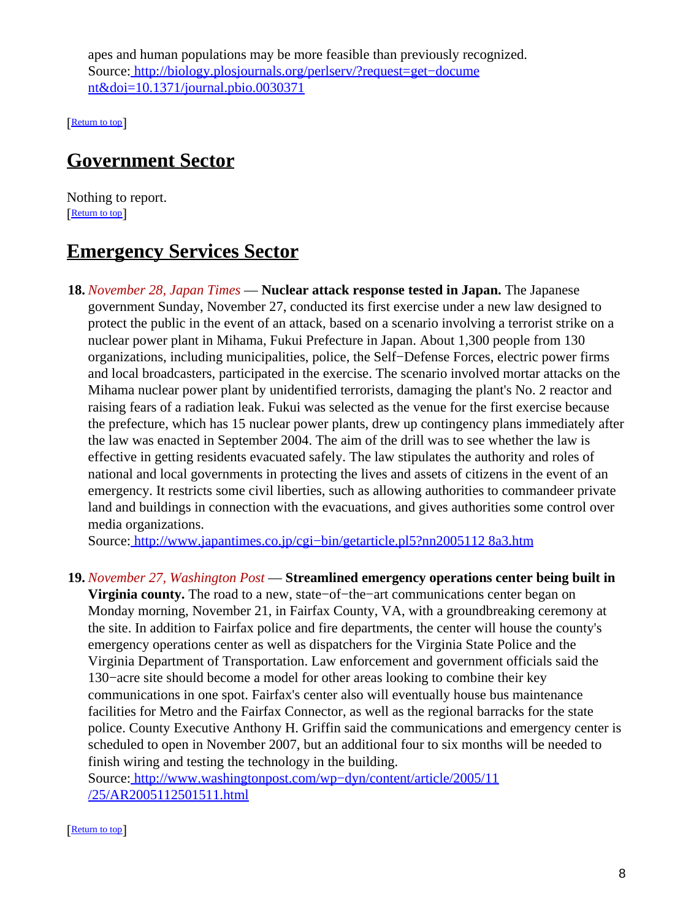apes and human populations may be more feasible than previously recognized. Source[: http://biology.plosjournals.org/perlserv/?request=get−docume](http://biology.plosjournals.org/perlserv/?request=get-document&doi=10.1371/journal.pbio.0030371) [nt&doi=10.1371/journal.pbio.0030371](http://biology.plosjournals.org/perlserv/?request=get-document&doi=10.1371/journal.pbio.0030371)

[[Return to top](#page-0-1)]

### <span id="page-7-0"></span>**Government Sector**

Nothing to report. [[Return to top](#page-0-1)]

### <span id="page-7-1"></span>**Emergency Services Sector**

**18.** *November 28, Japan Times* — **Nuclear attack response tested in Japan.** The Japanese government Sunday, November 27, conducted its first exercise under a new law designed to protect the public in the event of an attack, based on a scenario involving a terrorist strike on a nuclear power plant in Mihama, Fukui Prefecture in Japan. About 1,300 people from 130 organizations, including municipalities, police, the Self−Defense Forces, electric power firms and local broadcasters, participated in the exercise. The scenario involved mortar attacks on the Mihama nuclear power plant by unidentified terrorists, damaging the plant's No. 2 reactor and raising fears of a radiation leak. Fukui was selected as the venue for the first exercise because the prefecture, which has 15 nuclear power plants, drew up contingency plans immediately after the law was enacted in September 2004. The aim of the drill was to see whether the law is effective in getting residents evacuated safely. The law stipulates the authority and roles of national and local governments in protecting the lives and assets of citizens in the event of an emergency. It restricts some civil liberties, such as allowing authorities to commandeer private land and buildings in connection with the evacuations, and gives authorities some control over media organizations.

Source[: http://www.japantimes.co.jp/cgi−bin/getarticle.pl5?nn2005112 8a3.htm](http://www.japantimes.co.jp/cgi-bin/getarticle.pl5?nn20051128a3.htm)

#### **19.** *November 27, Washington Post* — **Streamlined emergency operations center being built in**

**Virginia county.** The road to a new, state−of−the−art communications center began on Monday morning, November 21, in Fairfax County, VA, with a groundbreaking ceremony at the site. In addition to Fairfax police and fire departments, the center will house the county's emergency operations center as well as dispatchers for the Virginia State Police and the Virginia Department of Transportation. Law enforcement and government officials said the 130−acre site should become a model for other areas looking to combine their key communications in one spot. Fairfax's center also will eventually house bus maintenance facilities for Metro and the Fairfax Connector, as well as the regional barracks for the state police. County Executive Anthony H. Griffin said the communications and emergency center is scheduled to open in November 2007, but an additional four to six months will be needed to finish wiring and testing the technology in the building.

Source[: http://www.washingtonpost.com/wp−dyn/content/article/2005/11](http://www.washingtonpost.com/wp-dyn/content/article/2005/11/25/AR2005112501511.html) [/25/AR2005112501511.html](http://www.washingtonpost.com/wp-dyn/content/article/2005/11/25/AR2005112501511.html)

[[Return to top](#page-0-1)]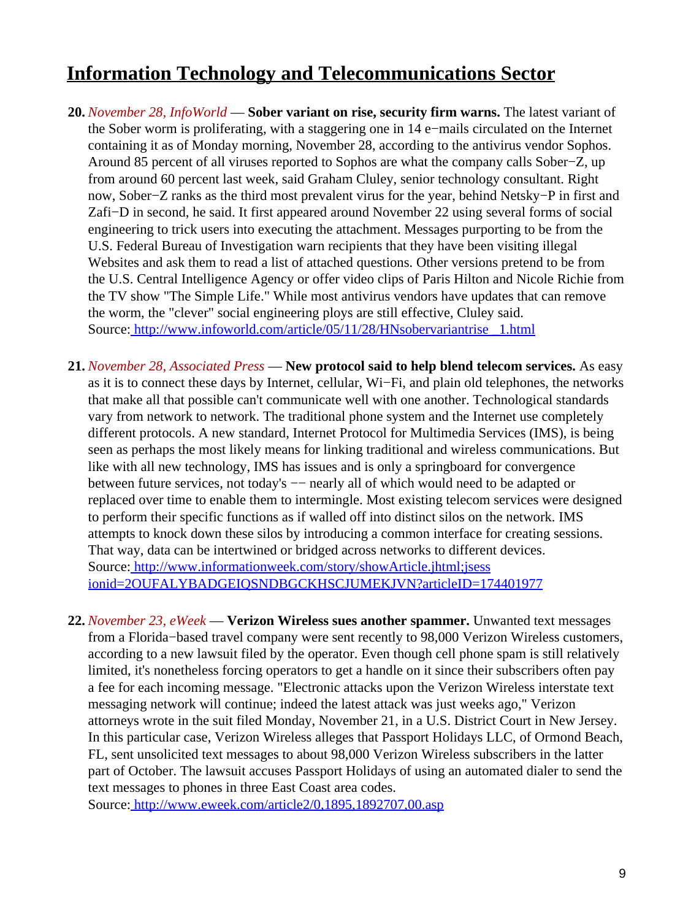## <span id="page-8-1"></span>**Information Technology and Telecommunications Sector**

- **20.** *November 28, InfoWorld* — **Sober variant on rise, security firm warns.** The latest variant of the Sober worm is proliferating, with a staggering one in 14 e−mails circulated on the Internet containing it as of Monday morning, November 28, according to the antivirus vendor Sophos. Around 85 percent of all viruses reported to Sophos are what the company calls Sober−Z, up from around 60 percent last week, said Graham Cluley, senior technology consultant. Right now, Sober−Z ranks as the third most prevalent virus for the year, behind Netsky−P in first and Zafi−D in second, he said. It first appeared around November 22 using several forms of social engineering to trick users into executing the attachment. Messages purporting to be from the U.S. Federal Bureau of Investigation warn recipients that they have been visiting illegal Websites and ask them to read a list of attached questions. Other versions pretend to be from the U.S. Central Intelligence Agency or offer video clips of Paris Hilton and Nicole Richie from the TV show "The Simple Life." While most antivirus vendors have updates that can remove the worm, the "clever" social engineering ploys are still effective, Cluley said. Source[: http://www.infoworld.com/article/05/11/28/HNsobervariantrise \\_1.html](http://www.infoworld.com/article/05/11/28/HNsobervariantrise_1.html)
- **21.** *November 28, Associated Press* — **New protocol said to help blend telecom services.** As easy as it is to connect these days by Internet, cellular, Wi−Fi, and plain old telephones, the networks that make all that possible can't communicate well with one another. Technological standards vary from network to network. The traditional phone system and the Internet use completely different protocols. A new standard, Internet Protocol for Multimedia Services (IMS), is being seen as perhaps the most likely means for linking traditional and wireless communications. But like with all new technology, IMS has issues and is only a springboard for convergence between future services, not today's −− nearly all of which would need to be adapted or replaced over time to enable them to intermingle. Most existing telecom services were designed to perform their specific functions as if walled off into distinct silos on the network. IMS attempts to knock down these silos by introducing a common interface for creating sessions. That way, data can be intertwined or bridged across networks to different devices. Source[: http://www.informationweek.com/story/showArticle.jhtml;jsess](http://www.informationweek.com/story/showArticle.jhtml;jsessionid=2OUFALYBADGEIQSNDBGCKHSCJUMEKJVN?articleID=174401977) [ionid=2OUFALYBADGEIQSNDBGCKHSCJUMEKJVN?articleID=174401977](http://www.informationweek.com/story/showArticle.jhtml;jsessionid=2OUFALYBADGEIQSNDBGCKHSCJUMEKJVN?articleID=174401977)
- <span id="page-8-0"></span>**22.** *November 23, eWeek* — **Verizon Wireless sues another spammer.** Unwanted text messages from a Florida−based travel company were sent recently to 98,000 Verizon Wireless customers, according to a new lawsuit filed by the operator. Even though cell phone spam is still relatively limited, it's nonetheless forcing operators to get a handle on it since their subscribers often pay a fee for each incoming message. "Electronic attacks upon the Verizon Wireless interstate text messaging network will continue; indeed the latest attack was just weeks ago," Verizon attorneys wrote in the suit filed Monday, November 21, in a U.S. District Court in New Jersey. In this particular case, Verizon Wireless alleges that Passport Holidays LLC, of Ormond Beach, FL, sent unsolicited text messages to about 98,000 Verizon Wireless subscribers in the latter part of October. The lawsuit accuses Passport Holidays of using an automated dialer to send the text messages to phones in three East Coast area codes.

Source[: http://www.eweek.com/article2/0,1895,1892707,00.asp](http://www.eweek.com/article2/0,1895,1892707,00.asp)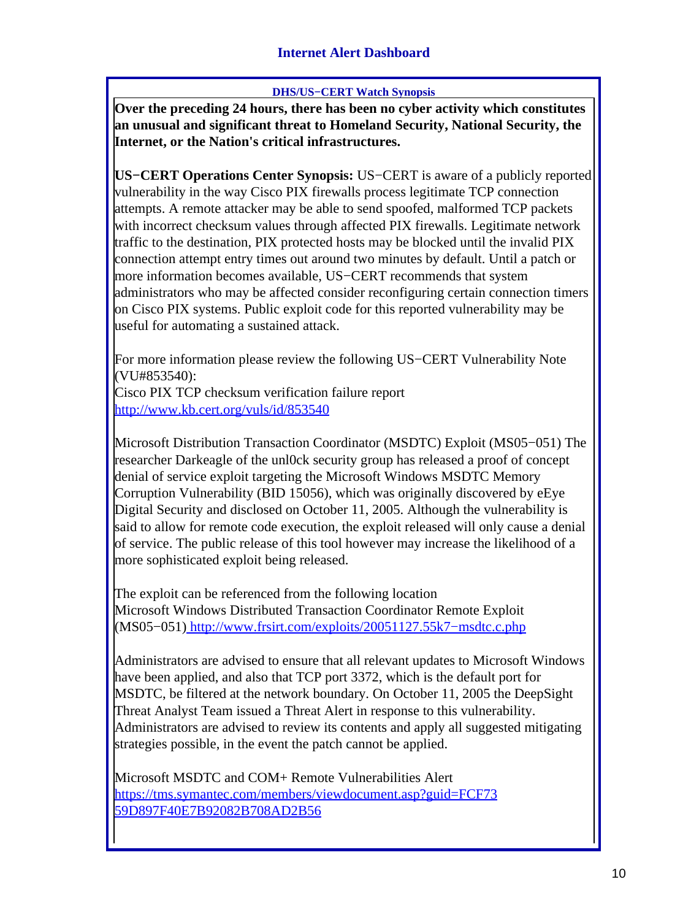#### **Internet Alert Dashboard**

#### **DHS/US−CERT Watch Synopsis**

<span id="page-9-0"></span>**Over the preceding 24 hours, there has been no cyber activity which constitutes an unusual and significant threat to Homeland Security, National Security, the Internet, or the Nation's critical infrastructures.**

**US−CERT Operations Center Synopsis:** US−CERT is aware of a publicly reported vulnerability in the way Cisco PIX firewalls process legitimate TCP connection attempts. A remote attacker may be able to send spoofed, malformed TCP packets with incorrect checksum values through affected PIX firewalls. Legitimate network traffic to the destination, PIX protected hosts may be blocked until the invalid PIX connection attempt entry times out around two minutes by default. Until a patch or more information becomes available, US−CERT recommends that system administrators who may be affected consider reconfiguring certain connection timers on Cisco PIX systems. Public exploit code for this reported vulnerability may be useful for automating a sustained attack.

For more information please review the following US−CERT Vulnerability Note (VU#853540):

Cisco PIX TCP checksum verification failure report <http://www.kb.cert.org/vuls/id/853540>

Microsoft Distribution Transaction Coordinator (MSDTC) Exploit (MS05−051) The researcher Darkeagle of the unl0ck security group has released a proof of concept denial of service exploit targeting the Microsoft Windows MSDTC Memory Corruption Vulnerability (BID 15056), which was originally discovered by eEye Digital Security and disclosed on October 11, 2005. Although the vulnerability is said to allow for remote code execution, the exploit released will only cause a denial of service. The public release of this tool however may increase the likelihood of a more sophisticated exploit being released.

The exploit can be referenced from the following location Microsoft Windows Distributed Transaction Coordinator Remote Exploit (MS05−051) [http://www.frsirt.com/exploits/20051127.55k7−msdtc.c.php](http://www.frsirt.com/exploits/20051127.55k7-msdtc.c.php)

Administrators are advised to ensure that all relevant updates to Microsoft Windows have been applied, and also that TCP port 3372, which is the default port for MSDTC, be filtered at the network boundary. On October 11, 2005 the DeepSight Threat Analyst Team issued a Threat Alert in response to this vulnerability. Administrators are advised to review its contents and apply all suggested mitigating strategies possible, in the event the patch cannot be applied.

Microsoft MSDTC and COM+ Remote Vulnerabilities Alert [https://tms.symantec.com/members/viewdocument.asp?guid=FCF73](https://tms.symantec.com/members/viewdocument.asp?guid=FCF7359D897F40E7B92082B708AD2B56) [59D897F40E7B92082B708AD2B56](https://tms.symantec.com/members/viewdocument.asp?guid=FCF7359D897F40E7B92082B708AD2B56)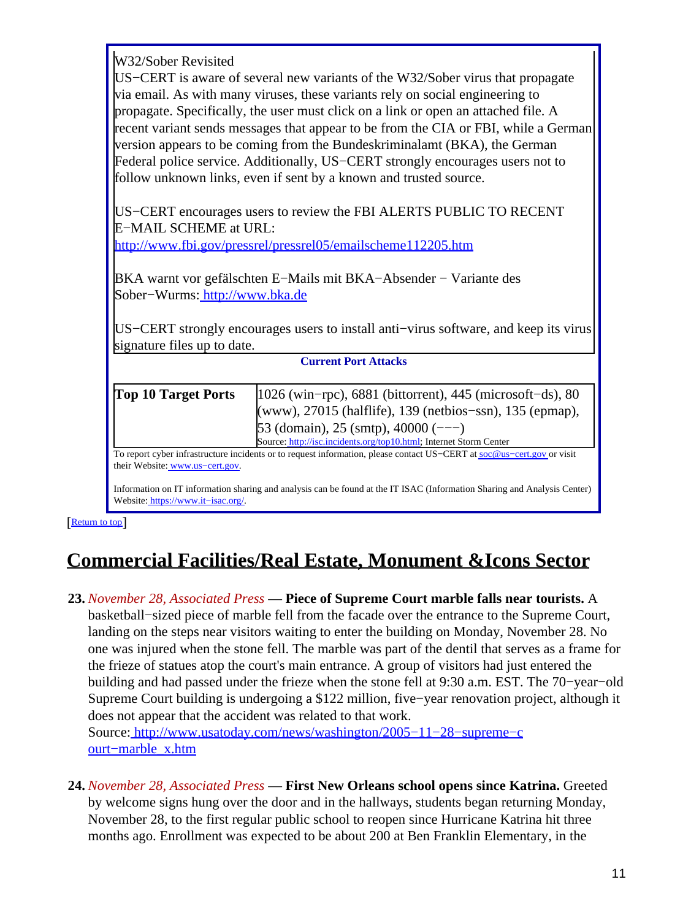W32/Sober Revisited

US−CERT is aware of several new variants of the W32/Sober virus that propagate via email. As with many viruses, these variants rely on social engineering to propagate. Specifically, the user must click on a link or open an attached file. A recent variant sends messages that appear to be from the CIA or FBI, while a German version appears to be coming from the Bundeskriminalamt (BKA), the German Federal police service. Additionally, US−CERT strongly encourages users not to follow unknown links, even if sent by a known and trusted source.

US−CERT encourages users to review the FBI ALERTS PUBLIC TO RECENT E−MAIL SCHEME at URL:

<http://www.fbi.gov/pressrel/pressrel05/emailscheme112205.htm>

BKA warnt vor gefälschten E−Mails mit BKA−Absender − Variante des Sober−Wurms[: http://www.bka.de](http://www.bka.de)

US−CERT strongly encourages users to install anti−virus software, and keep its virus signature files up to date.

| <b>Current Port Attacks</b>     |                                                                                                                                                                                                                                                                    |  |
|---------------------------------|--------------------------------------------------------------------------------------------------------------------------------------------------------------------------------------------------------------------------------------------------------------------|--|
| <b>Top 10 Target Ports</b>      | $ 1026 \text{ (win–rpc)} , 6881 \text{ (bittorrent)} , 445 \text{ (microsoft–ds)} , 80$<br>(www), 27015 (halflife), 139 (netbios-ssn), 135 (epmap),<br>$53$ (domain), 25 (smtp), 40000 (---)<br>Source: http://isc.incidents.org/top10.html; Internet Storm Center |  |
| their Website: www.us-cert.gov. | To report cyber infrastructure incidents or to request information, please contact US-CERT at soc@us-cert.gov or visit                                                                                                                                             |  |

Information on IT information sharing and analysis can be found at the IT ISAC (Information Sharing and Analysis Center) Website: [https://www.it−isac.org/.](https://www.it-isac.org/)

[[Return to top](#page-0-1)]

# <span id="page-10-0"></span>**Commercial Facilities/Real Estate, Monument &Icons Sector**

- **23.** *November 28, Associated Press* — **Piece of Supreme Court marble falls near tourists.** A basketball−sized piece of marble fell from the facade over the entrance to the Supreme Court, landing on the steps near visitors waiting to enter the building on Monday, November 28. No one was injured when the stone fell. The marble was part of the dentil that serves as a frame for the frieze of statues atop the court's main entrance. A group of visitors had just entered the building and had passed under the frieze when the stone fell at 9:30 a.m. EST. The 70−year−old Supreme Court building is undergoing a \$122 million, five−year renovation project, although it does not appear that the accident was related to that work. Source[: http://www.usatoday.com/news/washington/2005−11−28−supreme−c](http://www.usatoday.com/news/washington/2005-11-28-supreme-court-marble_x.htm) [ourt−marble\\_x.htm](http://www.usatoday.com/news/washington/2005-11-28-supreme-court-marble_x.htm)
- **24.** *November 28, Associated Press* — **First New Orleans school opens since Katrina.** Greeted by welcome signs hung over the door and in the hallways, students began returning Monday, November 28, to the first regular public school to reopen since Hurricane Katrina hit three months ago. Enrollment was expected to be about 200 at Ben Franklin Elementary, in the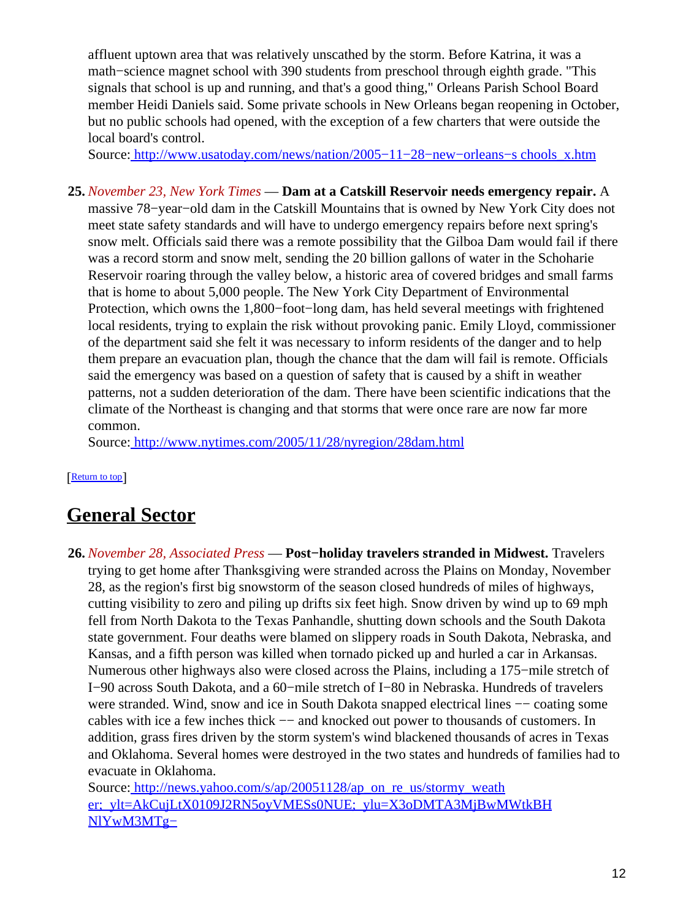affluent uptown area that was relatively unscathed by the storm. Before Katrina, it was a math−science magnet school with 390 students from preschool through eighth grade. "This signals that school is up and running, and that's a good thing," Orleans Parish School Board member Heidi Daniels said. Some private schools in New Orleans began reopening in October, but no public schools had opened, with the exception of a few charters that were outside the local board's control.

Source[: http://www.usatoday.com/news/nation/2005−11−28−new−orleans−s chools\\_x.htm](http://www.usatoday.com/news/nation/2005-11-28-new-orleans-schools_x.htm)

**25.** *November 23, New York Times* — **Dam at a Catskill Reservoir needs emergency repair.** A massive 78−year−old dam in the Catskill Mountains that is owned by New York City does not meet state safety standards and will have to undergo emergency repairs before next spring's snow melt. Officials said there was a remote possibility that the Gilboa Dam would fail if there was a record storm and snow melt, sending the 20 billion gallons of water in the Schoharie Reservoir roaring through the valley below, a historic area of covered bridges and small farms that is home to about 5,000 people. The New York City Department of Environmental Protection, which owns the 1,800−foot−long dam, has held several meetings with frightened local residents, trying to explain the risk without provoking panic. Emily Lloyd, commissioner of the department said she felt it was necessary to inform residents of the danger and to help them prepare an evacuation plan, though the chance that the dam will fail is remote. Officials said the emergency was based on a question of safety that is caused by a shift in weather patterns, not a sudden deterioration of the dam. There have been scientific indications that the climate of the Northeast is changing and that storms that were once rare are now far more common.

Source[: http://www.nytimes.com/2005/11/28/nyregion/28dam.html](http://www.nytimes.com/2005/11/28/nyregion/28dam.html)

[[Return to top](#page-0-1)]

## <span id="page-11-0"></span>**General Sector**

**26.** *November 28, Associated Press* — **Post−holiday travelers stranded in Midwest.** Travelers trying to get home after Thanksgiving were stranded across the Plains on Monday, November 28, as the region's first big snowstorm of the season closed hundreds of miles of highways, cutting visibility to zero and piling up drifts six feet high. Snow driven by wind up to 69 mph fell from North Dakota to the Texas Panhandle, shutting down schools and the South Dakota state government. Four deaths were blamed on slippery roads in South Dakota, Nebraska, and Kansas, and a fifth person was killed when tornado picked up and hurled a car in Arkansas. Numerous other highways also were closed across the Plains, including a 175−mile stretch of I−90 across South Dakota, and a 60−mile stretch of I−80 in Nebraska. Hundreds of travelers were stranded. Wind, snow and ice in South Dakota snapped electrical lines –– coating some cables with ice a few inches thick −− and knocked out power to thousands of customers. In addition, grass fires driven by the storm system's wind blackened thousands of acres in Texas and Oklahoma. Several homes were destroyed in the two states and hundreds of families had to evacuate in Oklahoma.

Source[: http://news.yahoo.com/s/ap/20051128/ap\\_on\\_re\\_us/stormy\\_weath](http://news.yahoo.com/s/ap/20051128/ap_on_re_us/stormy_weather;_ylt=AkCujLtX0109J2RN5oyVMESs0NUE;_ylu=X3oDMTA3MjBwMWtkBHNlYwM3MTg-) [er;\\_ylt=AkCujLtX0109J2RN5oyVMESs0NUE;\\_ylu=X3oDMTA3MjBwMWtkBH](http://news.yahoo.com/s/ap/20051128/ap_on_re_us/stormy_weather;_ylt=AkCujLtX0109J2RN5oyVMESs0NUE;_ylu=X3oDMTA3MjBwMWtkBHNlYwM3MTg-) [NlYwM3MTg−](http://news.yahoo.com/s/ap/20051128/ap_on_re_us/stormy_weather;_ylt=AkCujLtX0109J2RN5oyVMESs0NUE;_ylu=X3oDMTA3MjBwMWtkBHNlYwM3MTg-)